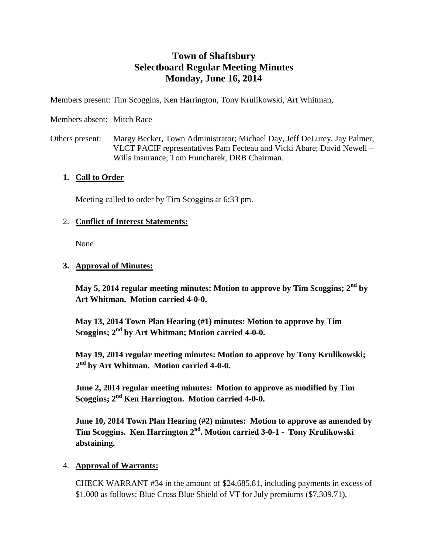# **Town of Shaftsbury Selectboard Regular Meeting Minutes Monday, June 16, 2014**

Members present: Tim Scoggins, Ken Harrington, Tony Krulikowski, Art Whitman,

Members absent: Mitch Race

Others present: Margy Becker, Town Administrator; Michael Day, Jeff DeLurey, Jay Palmer, VLCT PACIF representatives Pam Fecteau and Vicki Abare; David Newell – Wills Insurance; Tom Huncharek, DRB Chairman.

#### **1. Call to Order**

Meeting called to order by Tim Scoggins at 6:33 pm.

#### 2. **Conflict of Interest Statements:**

None

#### **3. Approval of Minutes:**

**May 5, 2014 regular meeting minutes: Motion to approve by Tim Scoggins; 2nd by Art Whitman. Motion carried 4-0-0.**

**May 13, 2014 Town Plan Hearing (#1) minutes: Motion to approve by Tim Scoggins; 2nd by Art Whitman; Motion carried 4-0-0.**

**May 19, 2014 regular meeting minutes: Motion to approve by Tony Krulikowski; 2 nd by Art Whitman. Motion carried 4-0-0.**

**June 2, 2014 regular meeting minutes: Motion to approve as modified by Tim Scoggins; 2nd Ken Harrington. Motion carried 4-0-0.** 

**June 10, 2014 Town Plan Hearing (#2) minutes: Motion to approve as amended by Tim Scoggins. Ken Harrington 2nd. Motion carried 3-0-1 - Tony Krulikowski abstaining.**

#### 4. **Approval of Warrants:**

CHECK WARRANT #34 in the amount of \$24,685.81, including payments in excess of \$1,000 as follows: Blue Cross Blue Shield of VT for July premiums (\$7,309.71),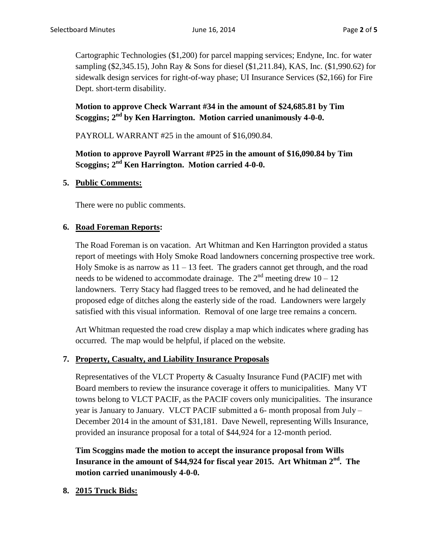Cartographic Technologies (\$1,200) for parcel mapping services; Endyne, Inc. for water sampling (\$2,345.15), John Ray & Sons for diesel (\$1,211.84), KAS, Inc. (\$1,990.62) for sidewalk design services for right-of-way phase; UI Insurance Services (\$2,166) for Fire Dept. short-term disability.

# **Motion to approve Check Warrant #34 in the amount of \$24,685.81 by Tim Scoggins; 2nd by Ken Harrington. Motion carried unanimously 4-0-0.**

PAYROLL WARRANT #25 in the amount of \$16,090.84.

**Motion to approve Payroll Warrant #P25 in the amount of \$16,090.84 by Tim Scoggins; 2nd Ken Harrington. Motion carried 4-0-0.**

#### **5. Public Comments:**

There were no public comments.

#### **6. Road Foreman Reports:**

The Road Foreman is on vacation. Art Whitman and Ken Harrington provided a status report of meetings with Holy Smoke Road landowners concerning prospective tree work. Holy Smoke is as narrow as  $11 - 13$  feet. The graders cannot get through, and the road needs to be widened to accommodate drainage. The  $2<sup>nd</sup>$  meeting drew 10 – 12 landowners. Terry Stacy had flagged trees to be removed, and he had delineated the proposed edge of ditches along the easterly side of the road. Landowners were largely satisfied with this visual information. Removal of one large tree remains a concern.

Art Whitman requested the road crew display a map which indicates where grading has occurred. The map would be helpful, if placed on the website.

#### **7. Property, Casualty, and Liability Insurance Proposals**

Representatives of the VLCT Property & Casualty Insurance Fund (PACIF) met with Board members to review the insurance coverage it offers to municipalities. Many VT towns belong to VLCT PACIF, as the PACIF covers only municipalities. The insurance year is January to January. VLCT PACIF submitted a 6- month proposal from July – December 2014 in the amount of \$31,181. Dave Newell, representing Wills Insurance, provided an insurance proposal for a total of \$44,924 for a 12-month period.

**Tim Scoggins made the motion to accept the insurance proposal from Wills Insurance in the amount of \$44,924 for fiscal year 2015. Art Whitman 2nd. The motion carried unanimously 4-0-0.**

#### **8. 2015 Truck Bids:**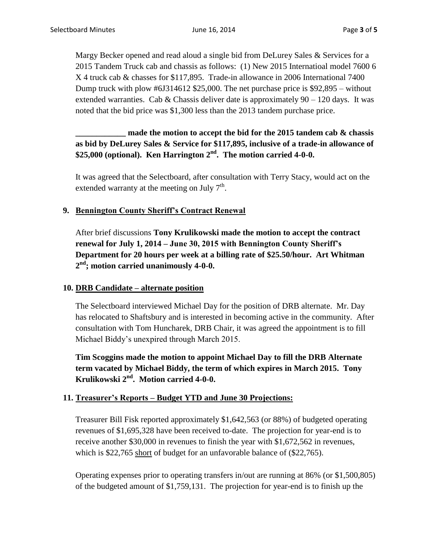Margy Becker opened and read aloud a single bid from DeLurey Sales & Services for a 2015 Tandem Truck cab and chassis as follows: (1) New 2015 Internatioal model 7600 6 X 4 truck cab & chasses for \$117,895. Trade-in allowance in 2006 International 7400 Dump truck with plow #6J314612 \$25,000. The net purchase price is \$92,895 – without extended warranties. Cab & Chassis deliver date is approximately  $90 - 120$  days. It was noted that the bid price was \$1,300 less than the 2013 tandem purchase price.

# **\_\_\_\_\_\_\_\_\_\_\_\_ made the motion to accept the bid for the 2015 tandem cab & chassis as bid by DeLurey Sales & Service for \$117,895, inclusive of a trade-in allowance of \$25,000 (optional). Ken Harrington 2nd. The motion carried 4-0-0.**

It was agreed that the Selectboard, after consultation with Terry Stacy, would act on the extended warranty at the meeting on July  $7<sup>th</sup>$ .

### **9. Bennington County Sheriff's Contract Renewal**

After brief discussions **Tony Krulikowski made the motion to accept the contract renewal for July 1, 2014 – June 30, 2015 with Bennington County Sheriff's Department for 20 hours per week at a billing rate of \$25.50/hour. Art Whitman 2 nd; motion carried unanimously 4-0-0.**

#### **10. DRB Candidate – alternate position**

The Selectboard interviewed Michael Day for the position of DRB alternate. Mr. Day has relocated to Shaftsbury and is interested in becoming active in the community. After consultation with Tom Huncharek, DRB Chair, it was agreed the appointment is to fill Michael Biddy's unexpired through March 2015.

**Tim Scoggins made the motion to appoint Michael Day to fill the DRB Alternate term vacated by Michael Biddy, the term of which expires in March 2015. Tony Krulikowski 2nd. Motion carried 4-0-0.**

# **11. Treasurer's Reports – Budget YTD and June 30 Projections:**

Treasurer Bill Fisk reported approximately \$1,642,563 (or 88%) of budgeted operating revenues of \$1,695,328 have been received to-date. The projection for year-end is to receive another \$30,000 in revenues to finish the year with \$1,672,562 in revenues, which is \$22,765 short of budget for an unfavorable balance of (\$22,765).

Operating expenses prior to operating transfers in/out are running at 86% (or \$1,500,805) of the budgeted amount of \$1,759,131. The projection for year-end is to finish up the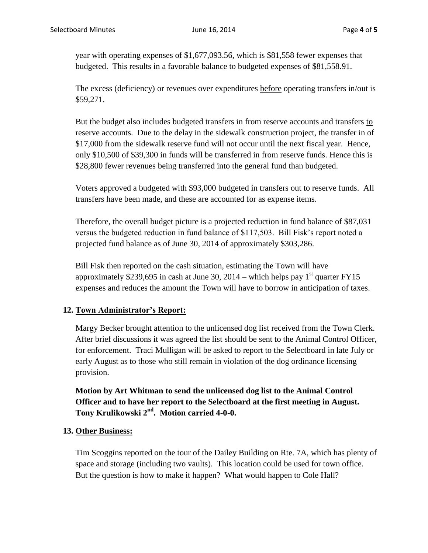year with operating expenses of \$1,677,093.56, which is \$81,558 fewer expenses that budgeted. This results in a favorable balance to budgeted expenses of \$81,558.91.

The excess (deficiency) or revenues over expenditures before operating transfers in/out is \$59,271.

But the budget also includes budgeted transfers in from reserve accounts and transfers to reserve accounts. Due to the delay in the sidewalk construction project, the transfer in of \$17,000 from the sidewalk reserve fund will not occur until the next fiscal year. Hence, only \$10,500 of \$39,300 in funds will be transferred in from reserve funds. Hence this is \$28,800 fewer revenues being transferred into the general fund than budgeted.

Voters approved a budgeted with \$93,000 budgeted in transfers out to reserve funds. All transfers have been made, and these are accounted for as expense items.

Therefore, the overall budget picture is a projected reduction in fund balance of \$87,031 versus the budgeted reduction in fund balance of \$117,503. Bill Fisk's report noted a projected fund balance as of June 30, 2014 of approximately \$303,286.

Bill Fisk then reported on the cash situation, estimating the Town will have approximately \$239,695 in cash at June 30, 2014 – which helps pay  $1<sup>st</sup>$  quarter FY15 expenses and reduces the amount the Town will have to borrow in anticipation of taxes.

# **12. Town Administrator's Report:**

Margy Becker brought attention to the unlicensed dog list received from the Town Clerk. After brief discussions it was agreed the list should be sent to the Animal Control Officer, for enforcement. Traci Mulligan will be asked to report to the Selectboard in late July or early August as to those who still remain in violation of the dog ordinance licensing provision.

**Motion by Art Whitman to send the unlicensed dog list to the Animal Control Officer and to have her report to the Selectboard at the first meeting in August. Tony Krulikowski 2nd . Motion carried 4-0-0.**

# **13. Other Business:**

Tim Scoggins reported on the tour of the Dailey Building on Rte. 7A, which has plenty of space and storage (including two vaults). This location could be used for town office. But the question is how to make it happen? What would happen to Cole Hall?